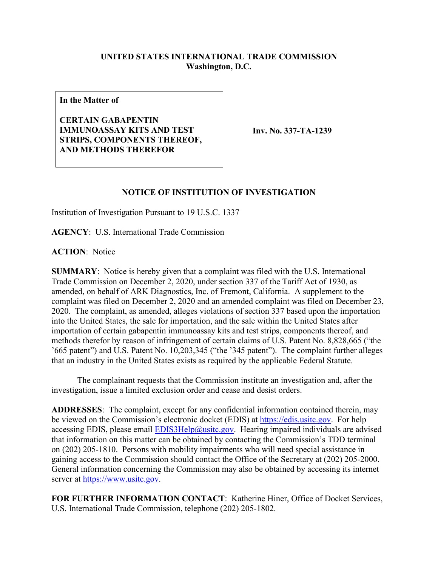## **UNITED STATES INTERNATIONAL TRADE COMMISSION Washington, D.C.**

**In the Matter of**

**CERTAIN GABAPENTIN IMMUNOASSAY KITS AND TEST STRIPS, COMPONENTS THEREOF, AND METHODS THEREFOR**

**Inv. No. 337-TA-1239**

## **NOTICE OF INSTITUTION OF INVESTIGATION**

Institution of Investigation Pursuant to 19 U.S.C. 1337

**AGENCY**: U.S. International Trade Commission

**ACTION**: Notice

**SUMMARY**: Notice is hereby given that a complaint was filed with the U.S. International Trade Commission on December 2, 2020, under section 337 of the Tariff Act of 1930, as amended, on behalf of ARK Diagnostics, Inc. of Fremont, California. A supplement to the complaint was filed on December 2, 2020 and an amended complaint was filed on December 23, 2020. The complaint, as amended, alleges violations of section 337 based upon the importation into the United States, the sale for importation, and the sale within the United States after importation of certain gabapentin immunoassay kits and test strips, components thereof, and methods therefor by reason of infringement of certain claims of U.S. Patent No. 8,828,665 ("the '665 patent") and U.S. Patent No. 10,203,345 ("the '345 patent"). The complaint further alleges that an industry in the United States exists as required by the applicable Federal Statute.

The complainant requests that the Commission institute an investigation and, after the investigation, issue a limited exclusion order and cease and desist orders.

**ADDRESSES**: The complaint, except for any confidential information contained therein, may be viewed on the Commission's electronic docket (EDIS) at [https://edis.usitc.gov.](https://edis.usitc.gov/) For help accessing EDIS, please email  $EDIS3Help@ustc.gov$ . Hearing impaired individuals are advised that information on this matter can be obtained by contacting the Commission's TDD terminal on (202) 205-1810. Persons with mobility impairments who will need special assistance in gaining access to the Commission should contact the Office of the Secretary at (202) 205-2000. General information concerning the Commission may also be obtained by accessing its internet server at [https://www.usitc.gov.](https://www.usitc.gov/)

**FOR FURTHER INFORMATION CONTACT**: Katherine Hiner, Office of Docket Services, U.S. International Trade Commission, telephone (202) 205-1802.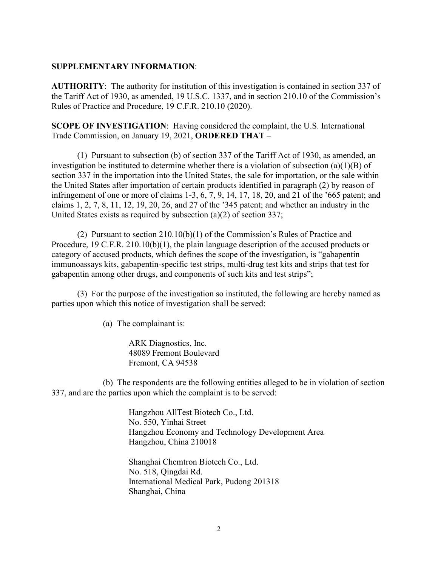## **SUPPLEMENTARY INFORMATION**:

**AUTHORITY**: The authority for institution of this investigation is contained in section 337 of the Tariff Act of 1930, as amended, 19 U.S.C. 1337, and in section 210.10 of the Commission's Rules of Practice and Procedure, 19 C.F.R. 210.10 (2020).

**SCOPE OF INVESTIGATION**: Having considered the complaint, the U.S. International Trade Commission, on January 19, 2021, **ORDERED THAT** –

(1) Pursuant to subsection (b) of section 337 of the Tariff Act of 1930, as amended, an investigation be instituted to determine whether there is a violation of subsection (a)(1)(B) of section 337 in the importation into the United States, the sale for importation, or the sale within the United States after importation of certain products identified in paragraph (2) by reason of infringement of one or more of claims 1-3, 6, 7, 9, 14, 17, 18, 20, and 21 of the '665 patent; and claims 1, 2, 7, 8, 11, 12, 19, 20, 26, and 27 of the '345 patent; and whether an industry in the United States exists as required by subsection (a)(2) of section 337;

(2) Pursuant to section 210.10(b)(1) of the Commission's Rules of Practice and Procedure, 19 C.F.R. 210.10(b)(1), the plain language description of the accused products or category of accused products, which defines the scope of the investigation, is "gabapentin immunoassays kits, gabapentin-specific test strips, multi-drug test kits and strips that test for gabapentin among other drugs, and components of such kits and test strips";

(3) For the purpose of the investigation so instituted, the following are hereby named as parties upon which this notice of investigation shall be served:

(a) The complainant is:

ARK Diagnostics, Inc. 48089 Fremont Boulevard Fremont, CA 94538

(b) The respondents are the following entities alleged to be in violation of section 337, and are the parties upon which the complaint is to be served:

> Hangzhou AllTest Biotech Co., Ltd. No. 550, Yinhai Street Hangzhou Economy and Technology Development Area Hangzhou, China 210018

Shanghai Chemtron Biotech Co., Ltd. No. 518, Qingdai Rd. International Medical Park, Pudong 201318 Shanghai, China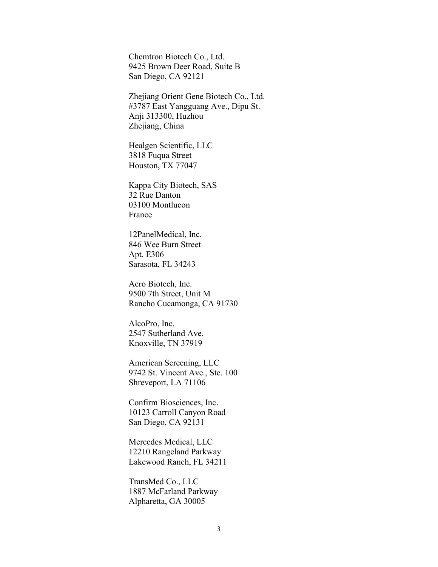Chemtron Biotech Co., Ltd. 9425 Brown Deer Road, Suite B San Diego, CA 92121

Zhejiang Orient Gene Biotech Co., Ltd. #3787 East Yangguang Ave., Dipu St. Anji 313300, Huzhou Zhejiang, China

Healgen Scientific, LLC 3818 Fuqua Street Houston, TX 77047

Kappa City Biotech, SAS 32 Rue Danton 03100 Montlucon France

12PanelMedical, Inc. 846 Wee Burn Street Apt. E306 Sarasota, FL 34243

Acro Biotech, Inc. 9500 7th Street, Unit M Rancho Cucamonga, CA 91730

AlcoPro, Inc. 2547 Sutherland Ave. Knoxville, TN 37919

American Screening, LLC 9742 St. Vincent Ave., Ste. 100 Shreveport, LA 71106

Confirm Biosciences, Inc. 10123 Carroll Canyon Road San Diego, CA 92131

Mercedes Medical, LLC 12210 Rangeland Parkway Lakewood Ranch, FL 34211

TransMed Co., LLC 1887 McFarland Parkway Alpharetta, GA 30005